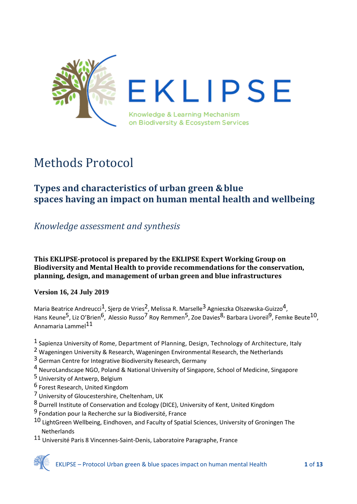

# Methods Protocol

# <span id="page-0-0"></span>**Types and characteristics of urban green &blue spaces having an impact on human mental health and wellbeing**

# *Knowledge assessment and synthesis*

### **This EKLIPSE-protocol is prepared by the EKLIPSE Expert Working Group on Biodiversity and Mental Health to provide recommendations for the conservation, planning, design, and management of urban green and blue infrastructures**

# **Version 16, 24 July 2019**

Maria Beatrice Andreucci<sup>1</sup>, Sjerp de Vries<sup>2</sup>, Melissa R. Marselle<sup>3</sup> Agnieszka Olszewska-Guizzo<sup>4</sup>, Hans Keune<sup>5</sup>, Liz O'Brien<sup>6</sup>, Alessio Russo<sup>7</sup> Roy Remmen<sup>5</sup>, Zoe Davies<sup>8,</sup> Barbara Livoreil<sup>9</sup>, Femke Beute<sup>10</sup>, Annamaria Lammel11

- <sup>1</sup> Sapienza University of Rome, Department of Planning, Design, Technology of Architecture, Italy
- 2 Wageningen University & Research, Wageningen Environmental Research, the Netherlands
- <sup>3</sup> German Centre for Integrative Biodiversity Research, Germany
- 4 NeuroLandscape NGO, Poland & National University of Singapore, School of Medicine, Singapore
- 5 University of Antwerp, Belgium
- 6 Forest Research, United Kingdom
- 7 University of Gloucestershire, Cheltenham, UK
- 8 Durrell Institute of Conservation and Ecology (DICE), University of Kent, United Kingdom
- 9 Fondation pour la Recherche sur la Biodiversité, France
- 10 LightGreen Wellbeing, Eindhoven, and Faculty of Spatial Sciences, University of Groningen The **Netherlands**
- 11 Université Paris 8 Vincennes-Saint-Denis, Laboratoire Paragraphe, France

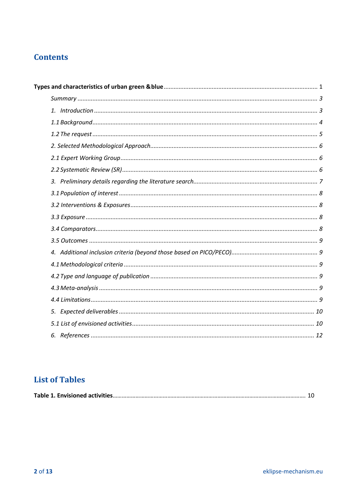# **Contents**

# **List of Tables**

|--|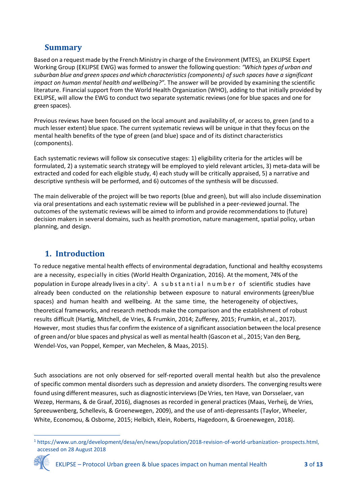# <span id="page-2-0"></span>**Summary**

Based on a request made by the French Ministry in charge of the Environment (MTES), an EKLIPSE Expert Working Group (EKLIPSE EWG) was formed to answer the following question: *"Which types of urban and suburban blue and green spaces and which characteristics(components) of such spaces have a significant impact on human mental health and wellbeing?".* The answer will be provided by examining the scientific literature. Financial support from the World Health Organization (WHO), adding to that initially provided by EKLIPSE, will allow the EWG to conduct two separate systematic reviews (one for blue spaces and one for green spaces).

Previous reviews have been focused on the local amount and availability of, or access to, green (and to a much lesser extent) blue space. The current systematic reviews will be unique in that they focus on the mental health benefits of the type of green (and blue) space and of its distinct characteristics (components).

Each systematic reviews will follow six consecutive stages: 1) eligibility criteria for the articles will be formulated, 2) a systematic search strategy will be employed to yield relevant articles, 3) meta-data will be extracted and coded for each eligible study, 4) each study will be critically appraised, 5) a narrative and descriptive synthesis will be performed, and 6) outcomes of the synthesis will be discussed.

The main deliverable of the project will be two reports (blue and green), but will also include dissemination via oral presentations and each systematic review will be published in a peer-reviewed journal. The outcomes of the systematic reviews will be aimed to inform and provide recommendations to (future) decision makers in several domains, such as health promotion, nature management, spatial policy, urban planning, and design.

# <span id="page-2-1"></span>**1. Introduction**

To reduce negative mental health effects of environmental degradation, functional and healthy ecosystems are a necessity, especially in cities (World Health Organization, 2016). At themoment, 74% of the population in Europe already lives in a city<sup>[1](#page-2-2)</sup>. A substantial number of scientific studies have already been conducted on the relationship between exposure to natural environments (green/blue spaces) and human health and wellbeing. At the same time, the heterogeneity of objectives, theoretical frameworks, and research methods make the comparison and the establishment of robust results difficult (Hartig, Mitchell, de Vries, & Frumkin, 2014; Zufferey, 2015; Frumkin, et al., 2017). However, most studies thus far confirm the existence of a significant association between the local presence of green and/or blue spaces and physical as well as mental health (Gascon et al., 2015; Van den Berg, Wendel-Vos, van Poppel, Kemper, van Mechelen, & Maas, 2015).

Such associations are not only observed for self-reported overall mental health but also the prevalence of specific common mental disorders such as depression and anxiety disorders. The converging results were found using different measures, such as diagnostic interviews (De Vries, ten Have, van Dorsselaer, van Wezep, Hermans, & de Graaf, 2016), diagnoses as recorded in general practices (Maas, Verheij, de Vries, Spreeuwenberg, Schellevis, & Groenewegen, 2009), and the use of anti-depressants (Taylor, Wheeler, White, Economou, & Osborne, 2015; Helbich, Klein, Roberts, Hagedoorn, & Groenewegen, 2018).

<span id="page-2-2"></span> <sup>1</sup> [https://www.un.org/development/desa/en/news/population/2018-revision-of-world-urbanization-](http://www.un.org/development/desa/en/news/population/2018-revision-of-world-urbanization-) prospects.html, accessed on 28 August 2018

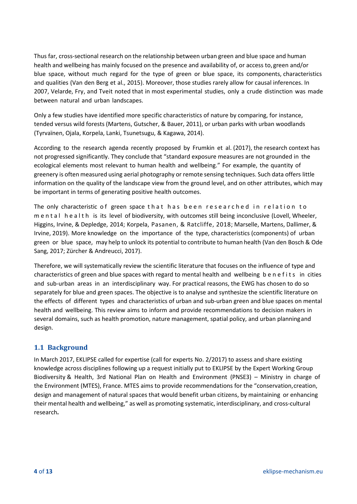Thus far, cross-sectional research on the relationship between urban green and blue space and human health and wellbeing has mainly focused on the presence and availability of, or access to, green and/or blue space, without much regard for the type of green or blue space, its components, characteristics and qualities (Van den Berg et al., 2015). Moreover, those studies rarely allow for causal inferences. In 2007, Velarde, Fry, and Tveit noted that in most experimental studies, only a crude distinction was made between natural and urban landscapes.

Only a few studies have identified more specific characteristics of nature by comparing, for instance, tended versus wild forests (Martens, Gutscher, & Bauer, 2011), or urban parks with urban woodlands (Tyrvaïnen, Ojala, Korpela, Lanki, Tsunetsugu, & Kagawa, 2014).

According to the research agenda recently proposed by Frumkin et al. (2017), the research context has not progressed significantly. They conclude that "standard exposure measures are not grounded in the ecological elements most relevant to human health and wellbeing." For example, the quantity of greenery is often measured using aerial photography or remote sensing techniques. Such data offers little information on the quality of the landscape view from the ground level, and on other attributes, which may be important in terms of generating positive health outcomes.

The only characteristic of green space that has been researched in relation to mental health is its level of biodiversity, with outcomes still being inconclusive (Lovell, Wheeler, Higgins, Irvine, & Depledge, 2014; Korpela, Pasanen, & Ratcliffe, 2018; Marselle, Martens, Dallimer, & Irvine, 2019). More knowledge on the importance of the type, characteristics (components) of urban green or blue space, may help to unlock its potential to contribute to human health (Van den Bosch & Ode Sang, 2017; Zürcher & Andreucci, 2017).

Therefore, we will systematically review the scientific literature that focuses on the influence of type and characteristics of green and blue spaces with regard to mental health and wellbeing b enefits in cities and sub-urban areas in an interdisciplinary way. For practical reasons, the EWG has chosen to do so separately for blue and green spaces. The objective is to analyse and synthesize the scientific literature on the effects of different types and characteristics of urban and sub-urban green and blue spaces on mental health and wellbeing. This review aims to inform and provide recommendations to decision makers in several domains, such as health promotion, nature management, spatial policy, and urban planningand design.

# <span id="page-3-0"></span>**1.1 Background**

In March 2017, EKLIPSE called for expertise (call for experts No. 2/2017) to assess and share existing knowledge across disciplines following up a request initially put to EKLIPSE by the Expert Working Group Biodiversity & Health, 3rd National Plan on Health and Environment (PNSE3) – Ministry in charge of the Environment (MTES), France. MTES aims to provide recommendations for the "conservation,creation, design and management of natural spaces that would benefit urban citizens, by maintaining or enhancing their mental health and wellbeing," as well as promoting systematic, interdisciplinary, and cross-cultural research**.**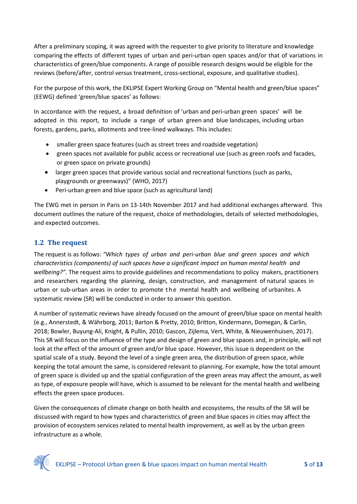After a preliminary scoping, it was agreed with the requester to give priority to literature and knowledge comparing the effects of different types of urban and peri-urban open spaces and/or that of variations in characteristics of green/blue components. A range of possible research designs would be eligible for the reviews (before/after, control *versus* treatment, cross-sectional, exposure, and qualitative studies).

For the purpose of this work, the EKLIPSE Expert Working Group on "Mental health and green/blue spaces" (EEWG) defined 'green/blue spaces' as follows:

In accordance with the request, a broad definition of 'urban and peri-urban green spaces' will be adopted in this report, to include a range of urban green and blue landscapes, including urban forests, gardens, parks, allotments and tree-lined walkways. This includes:

- smaller green space features (such as street trees and roadside vegetation)
- green spaces not available for public access or recreational use (such as green roofs and facades, or green space on private grounds)
- larger green spaces that provide various social and recreational functions (such as parks, playgrounds or greenways)" (WHO, 2017)
- Peri-urban green and blue space (such as agricultural land)

The EWG met in person in Paris on 13-14th November 2017 and had additional exchanges afterward. This document outlines the nature of the request, choice of methodologies, details of selected methodologies, and expected outcomes.

# <span id="page-4-0"></span>**1.2 The request**

The request is as follows: *"Which types of urban and peri-urban blue and green spaces and which characteristics (components) of such spaces have a significant impact on human mental health and wellbeing?".* The request aims to provide guidelines and recommendations to policy makers, practitioners and researchers regarding the planning, design, construction, and management of natural spaces in urban or sub-urban areas in order to promote the mental health and wellbeing of urbanites. A systematic review (SR) will be conducted in order to answer this question.

A number of systematic reviews have already focused on the amount of green/blue space on mental health (e.g., Annerstedt, & Währborg, 2011; Barton & Pretty, 2010; Britton, Kindermann, Domegan, & Carlin, 2018; Bowler, Buyung-Ali, Knight, & Pullin, 2010; Gascon, Zijlema, Vert, White, & Nieuwenhuisen, 2017). This SR will focus on the influence of the type and design of green and blue spaces and, in principle, will not look at the effect of the amount of green and/or blue space. However, this issue is dependent on the spatial scale of a study. Beyond the level of a single green area, the distribution of green space, while keeping the total amount the same, is considered relevant to planning. For example, how the total amount of green space is divided up and the spatial configuration of the green areas may affect the amount, as well as type, of exposure people will have, which is assumed to be relevant for the mental health and wellbeing effects the green space produces.

Given the consequences of climate change on both health and ecosystems, the results of the SR will be discussed with regard to how types and characteristics of green and blue spaces in cities may affect the provision of ecosystem services related to mental health improvement, as well as by the urban green infrastructure as a whole.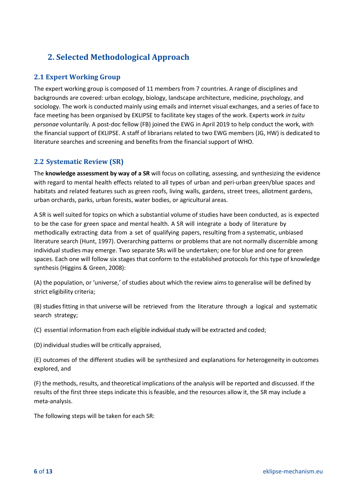# <span id="page-5-0"></span>**2. Selected Methodological Approach**

# <span id="page-5-1"></span>**2.1 Expert Working Group**

The expert working group is composed of 11 members from 7 countries. A range of disciplines and backgrounds are covered: urban ecology, biology, landscape architecture, medicine, psychology, and sociology. The work is conducted mainly using emails and internet visual exchanges, and a series of face to face meeting has been organised by EKLIPSE to facilitate key stages of the work. Experts work *in tuitu personae* voluntarily. A post-doc fellow (FB) joined the EWG in April 2019 to help conduct the work, with the financial support of EKLIPSE. A staff of librarians related to two EWG members (JG, HW) is dedicated to literature searches and screening and benefits from the financial support of WHO.

# <span id="page-5-2"></span>**2.2 Systematic Review (SR)**

The **knowledge assessment by way of a SR** will focus on collating, assessing, and synthesizing the evidence with regard to mental health effects related to all types of urban and peri-urban green/blue spaces and habitats and related features such as green roofs, living walls, gardens, street trees, allotment gardens, urban orchards, parks, urban forests, water bodies, or agricultural areas.

A SR is well suited for topics on which a substantial volume of studies have been conducted, as is expected to be the case for green space and mental health. A SR will integrate a body of literature by methodically extracting data from a set of qualifying papers, resulting from a systematic, unbiased literature search (Hunt, 1997). Overarching patterns or problems that are not normally discernible among individual studies may emerge. Two separate SRs will be undertaken; one for blue and one for green spaces. Each one will follow six stages that conform to the established protocols for this type of knowledge synthesis (Higgins & Green, 2008):

(A) the population, or 'universe,' of studies about which the review aims to generalise will be defined by strict eligibility criteria;

(B) studiesfitting in that universe will be retrieved from the literature through a logical and systematic search strategy;

(C) essential information from each eligible individual study will be extracted and coded;

(D) individual studies will be critically appraised,

(E) outcomes of the different studies will be synthesized and explanations for heterogeneity in outcomes explored, and

(F) the methods, results, and theoretical implications of the analysis will be reported and discussed. If the results of the first three steps indicate this isfeasible, and the resources allow it, the SR may include a meta-analysis.

The following steps will be taken for each SR: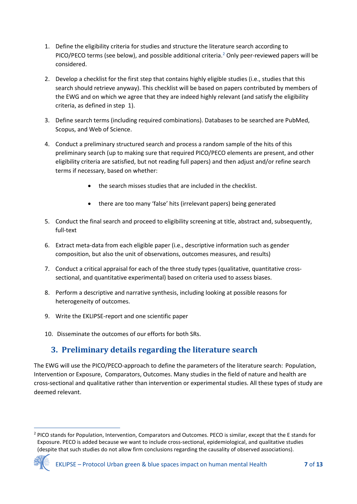- 1. Define the eligibility criteria for studies and structure the literature search according to PICO/PECO terms (see below), and possible additional criteria.<sup>[2](#page-6-1)</sup> Only peer-reviewed papers will be considered.
- 2. Develop a checklist for the first step that contains highly eligible studies (i.e., studies that this search should retrieve anyway). This checklist will be based on papers contributed by members of the EWG and on which we agree that they are indeed highly relevant (and satisfy the eligibility criteria, as defined in step 1).
- 3. Define search terms (including required combinations). Databases to be searched are PubMed, Scopus, and Web of Science.
- 4. Conduct a preliminary structured search and process a random sample of the hits of this preliminary search (up to making sure that required PICO/PECO elements are present, and other eligibility criteria are satisfied, but not reading full papers) and then adjust and/or refine search terms if necessary, based on whether:
	- the search misses studies that are included in the checklist.
	- there are too many 'false' hits (irrelevant papers) being generated
- 5. Conduct the final search and proceed to eligibility screening at title, abstract and, subsequently, full-text
- 6. Extract meta-data from each eligible paper (i.e., descriptive information such as gender composition, but also the unit of observations, outcomes measures, and results)
- 7. Conduct a critical appraisal for each of the three study types (qualitative, quantitative crosssectional, and quantitative experimental) based on criteria used to assess biases.
- 8. Perform a descriptive and narrative synthesis, including looking at possible reasons for heterogeneity of outcomes.
- 9. Write the EKLIPSE-report and one scientific paper
- 10. Disseminate the outcomes of our efforts for both SRs.

# **3. Preliminary details regarding the literature search**

<span id="page-6-0"></span>The EWG will use the PICO/PECO-approach to define the parameters of the literature search: Population, Intervention or Exposure, Comparators, Outcomes. Many studies in the field of nature and health are cross-sectional and qualitative rather than intervention or experimental studies. All these types of study are deemed relevant.

<span id="page-6-1"></span><sup>&</sup>lt;sup>2</sup> PICO stands for Population, Intervention, Comparators and Outcomes. PECO is similar, except that the E stands for Exposure. PECO is added because we want to include cross-sectional, epidemiological, and qualitative studies (despite that such studies do not allow firm conclusions regarding the causality of observed associations).

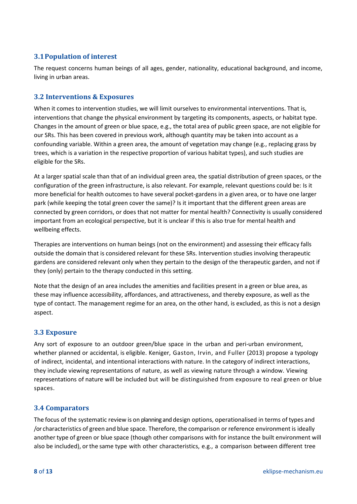# <span id="page-7-0"></span>**3.1Population of interest**

The request concerns human beings of all ages, gender, nationality, educational background, and income, living in urban areas.

### <span id="page-7-1"></span>**3.2 Interventions & Exposures**

When it comes to intervention studies, we will limit ourselves to environmental interventions. That is, interventions that change the physical environment by targeting its components, aspects, or habitat type. Changes in the amount of green or blue space, e.g., the total area of public green space, are not eligible for our SRs. This has been covered in previous work, although quantity may be taken into account as a confounding variable. Within a green area, the amount of vegetation may change (e.g., replacing grass by trees, which is a variation in the respective proportion of various habitat types), and such studies are eligible for the SRs.

At a larger spatial scale than that of an individual green area, the spatial distribution of green spaces, or the configuration of the green infrastructure, is also relevant. For example, relevant questions could be: Is it more beneficial for health outcomes to have several pocket-gardens in a given area, or to have one larger park (while keeping the total green cover the same)? Is it important that the different green areas are connected by green corridors, or does that not matter for mental health? Connectivity is usually considered important from an ecological perspective, but it is unclear if this is also true for mental health and wellbeing effects.

Therapies are interventions on human beings (not on the environment) and assessing their efficacy falls outside the domain that is considered relevant for these SRs. Intervention studies involving therapeutic gardens are considered relevant only when they pertain to the design of the therapeutic garden, and not if they (only) pertain to the therapy conducted in this setting.

Note that the design of an area includes the amenities and facilities present in a green or blue area, as these may influence accessibility, affordances, and attractiveness, and thereby exposure, as well as the type of contact. The management regime for an area, on the other hand, is excluded, as this is not a design aspect.

### <span id="page-7-2"></span>**3.3 Exposure**

Any sort of exposure to an outdoor green/blue space in the urban and peri-urban environment, whether planned or accidental, is eligible. Keniger, Gaston, Irvin, and Fuller (2013) propose a typology of indirect, incidental, and intentional interactions with nature. In the category of indirect interactions, they include viewing representations of nature, as well as viewing nature through a window. Viewing representations of nature will be included but will be distinguished from exposure to real green or blue spaces.

### <span id="page-7-3"></span>**3.4 Comparators**

The focus of the systematic review is on planning and design options, operationalised in terms of types and /or characteristics of green and blue space. Therefore, the comparison or reference environment is ideally another type of green or blue space (though other comparisons with for instance the built environment will also be included), orthe same type with other characteristics, e.g., a comparison between different tree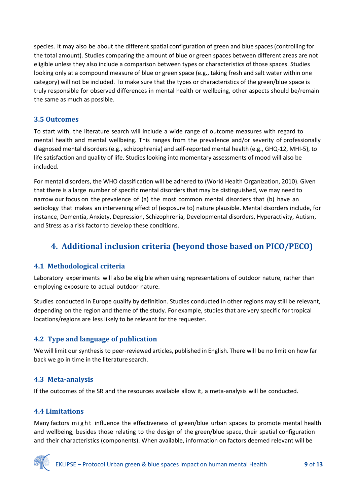species. It may also be about the different spatial configuration of green and blue spaces (controlling for the total amount). Studies comparing the amount of blue or green spaces between different areas are not eligible unless they also include a comparison between types or characteristics of those spaces. Studies looking only at a compound measure of blue or green space (e.g., taking fresh and salt water within one category) will not be included. To make sure that the types or characteristics of the green/blue space is truly responsible for observed differences in mental health or wellbeing, other aspects should be/remain the same as much as possible.

### <span id="page-8-0"></span>**3.5 Outcomes**

To start with, the literature search will include a wide range of outcome measures with regard to mental health and mental wellbeing. This ranges from the prevalence and/or severity of professionally diagnosed mental disorders(e.g., schizophrenia) and self-reported mental health (e.g., GHQ-12, MHI-5), to life satisfaction and quality of life. Studies looking into momentary assessments of mood will also be included.

For mental disorders, the WHO classification will be adhered to (World Health Organization, 2010). Given that there is a large number of specific mental disorders that may be distinguished, we may need to narrow our focus on the prevalence of (a) the most common mental disorders that (b) have an aetiology that makes an intervening effect of (exposure to) nature plausible. Mental disorders include, for instance, Dementia, Anxiety, Depression, Schizophrenia, Developmental disorders, Hyperactivity, Autism, and Stress as a risk factor to develop these conditions.

# <span id="page-8-1"></span>**4. Additional inclusion criteria (beyond those based on PICO/PECO)**

# <span id="page-8-2"></span>**4.1 Methodological criteria**

Laboratory experiments will also be eligible when using representations of outdoor nature, rather than employing exposure to actual outdoor nature.

Studies conducted in Europe qualify by definition. Studies conducted in other regions may still be relevant, depending on the region and theme of the study. For example, studies that are very specific for tropical locations/regions are less likely to be relevant for the requester.

# <span id="page-8-3"></span>**4.2 Type and language of publication**

We will limit our synthesis to peer-reviewed articles, published in English. There will be no limit on how far back we go in time in the literature search.

### <span id="page-8-4"></span>**4.3 Meta-analysis**

If the outcomes of the SR and the resources available allow it, a meta-analysis will be conducted.

### <span id="page-8-5"></span>**4.4 Limitations**

Many factors might influence the effectiveness of green/blue urban spaces to promote mental health and wellbeing, besides those relating to the design of the green/blue space, their spatial configuration and their characteristics (components). When available, information on factors deemed relevant will be

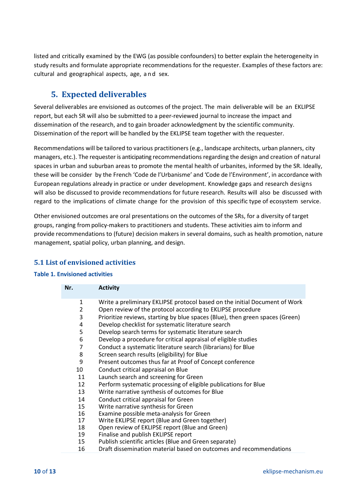listed and critically examined by the EWG (as possible confounders) to better explain the heterogeneity in study results and formulate appropriate recommendations for the requester. Examples of these factors are: cultural and geographical aspects, age, and sex.

# **5. Expected deliverables**

<span id="page-9-0"></span>Several deliverables are envisioned as outcomes of the project. The main deliverable will be an EKLIPSE report, but each SR will also be submitted to a peer-reviewed journal to increase the impact and dissemination of the research, and to gain broader acknowledgment by the scientific community. Dissemination of the report will be handled by the EKLIPSE team together with the requester.

Recommendations will be tailored to various practitioners (e.g., landscape architects, urban planners, city managers, etc.). The requester is anticipating recommendations regarding the design and creation of natural spaces in urban and suburban areas to promote the mental health of urbanites, informed by the SR. Ideally, these will be consider by the French 'Code de l'Urbanisme' and 'Code de l'Environment', in accordance with European regulations already in practice or under development. Knowledge gaps and research designs will also be discussed to provide recommendations for future research. Results will also be discussed with regard to the implications of climate change for the provision of this specific type of ecosystem service.

Other envisioned outcomes are oral presentations on the outcomes of the SRs, for a diversity of target groups, ranging frompolicy-makers to practitioners and students. These activities aim to inform and provide recommendations to (future) decision makers in several domains, such as health promotion, nature management, spatial policy, urban planning, and design.

# <span id="page-9-1"></span>**5.1 List of envisioned activities**

### <span id="page-9-2"></span>**Table 1. Envisioned activities**

| Nr.            | <b>Activity</b>                                                               |
|----------------|-------------------------------------------------------------------------------|
| 1              | Write a preliminary EKLIPSE protocol based on the initial Document of Work    |
| 2              | Open review of the protocol according to EKLIPSE procedure                    |
| 3              | Prioritize reviews, starting by blue spaces (Blue), then green spaces (Green) |
| 4              | Develop checklist for systematic literature search                            |
| 5              | Develop search terms for systematic literature search                         |
| 6              | Develop a procedure for critical appraisal of eligible studies                |
| $\overline{7}$ | Conduct a systematic literature search (librarians) for Blue                  |
| 8              | Screen search results (eligibility) for Blue                                  |
| 9              | Present outcomes thus far at Proof of Concept conference                      |
| 10             | Conduct critical appraisal on Blue                                            |
| 11             | Launch search and screening for Green                                         |
| 12             | Perform systematic processing of eligible publications for Blue               |
| 13             | Write narrative synthesis of outcomes for Blue                                |
| 14             | Conduct critical appraisal for Green                                          |
| 15             | Write narrative synthesis for Green                                           |
| 16             | Examine possible meta-analysis for Green                                      |
| 17             | Write EKLIPSE report (Blue and Green together)                                |
| 18             | Open review of EKLIPSE report (Blue and Green)                                |
| 19             | Finalise and publish EKLIPSE report                                           |
| 15             | Publish scientific articles (Blue and Green separate)                         |
| 16             | Draft dissemination material based on outcomes and recommendations            |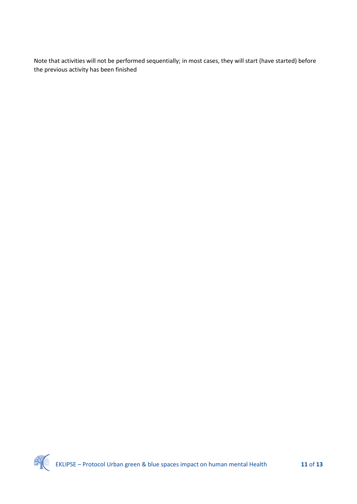Note that activities will not be performed sequentially; in most cases, they will start (have started) before the previous activity has been finished

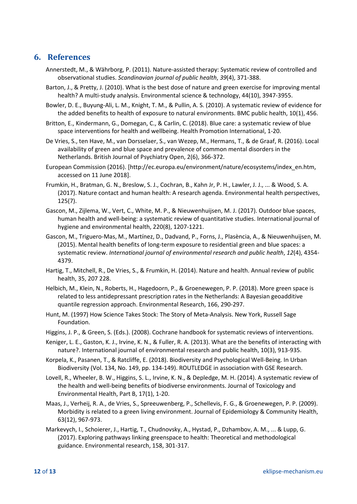# <span id="page-11-0"></span>**6. References**

- Annerstedt, M., & Währborg, P. (2011). Nature-assisted therapy: Systematic review of controlled and observational studies. *Scandinavian journal of public health*, *39*(4), 371-388.
- Barton, J., & Pretty, J. (2010). What is the best dose of nature and green exercise for improving mental health? A multi-study analysis. Environmental science & technology, 44(10), 3947-3955.
- Bowler, D. E., Buyung-Ali, L. M., Knight, T. M., & Pullin, A. S. (2010). A systematic review of evidence for the added benefits to health of exposure to natural environments. BMC public health, 10(1), 456.
- Britton, E., Kindermann, G., Domegan, C., & Carlin, C. (2018). Blue care: a systematic review of blue space interventions for health and wellbeing. Health Promotion International, 1-20.
- De Vries, S., ten Have, M., van Dorsselaer, S., van Wezep, M., Hermans, T., & de Graaf, R. (2016). Local availability of green and blue space and prevalence of common mental disorders in the Netherlands. British Journal of Psychiatry Open, 2(6), 366-372.
- European Commission (2016). [http://ec.europa.eu/environment/nature/ecosystems/index\_en.htm, accessed on 11 June 2018].
- Frumkin, H., Bratman, G. N., Breslow, S. J., Cochran, B., Kahn Jr, P. H., Lawler, J. J., ... & Wood, S. A. (2017). Nature contact and human health: A research agenda. Environmental health perspectives, 125(7).
- Gascon, M., Zijlema, W., Vert, C., White, M. P., & Nieuwenhuijsen, M. J. (2017). Outdoor blue spaces, human health and well-being: a systematic review of quantitative studies. International journal of hygiene and environmental health, 220(8), 1207-1221.
- Gascon, M., Triguero-Mas, M., Martínez, D., Dadvand, P., Forns, J., Plasència, A., & Nieuwenhuijsen, M. (2015). Mental health benefits of long-term exposure to residential green and blue spaces: a systematic review. *International journal of environmental research and public health*, *12*(4), 4354- 4379.
- Hartig, T., Mitchell, R., De Vries, S., & Frumkin, H. (2014). Nature and health. Annual review of public health, 35, 207 228.
- Helbich, M., Klein, N., Roberts, H., Hagedoorn, P., & Groenewegen, P. P. (2018). More green space is related to less antidepressant prescription rates in the Netherlands: A Bayesian geoadditive quantile regression approach. Environmental Research, 166, 290-297.
- Hunt, M. (1997) How Science Takes Stock: The Story of Meta-Analysis. New York, Russell Sage Foundation.
- Higgins, J. P., & Green, S. (Eds.). (2008). Cochrane handbook for systematic reviews of interventions.
- Keniger, L. E., Gaston, K. J., Irvine, K. N., & Fuller, R. A. (2013). What are the benefits of interacting with nature?. International journal of environmental research and public health, 10(3), 913-935.
- Korpela, K., Pasanen, T., & Ratcliffe, E. (2018). Biodiversity and Psychological Well-Being. In Urban Biodiversity (Vol. 134, No. 149, pp. 134-149). ROUTLEDGE in association with GSE Research.
- Lovell, R., Wheeler, B. W., Higgins, S. L., Irvine, K. N., & Depledge, M. H. (2014). A systematic review of the health and well-being benefits of biodiverse environments. Journal of Toxicology and Environmental Health, Part B, 17(1), 1-20.
- Maas, J., Verheij, R. A., de Vries, S., Spreeuwenberg, P., Schellevis, F. G., & Groenewegen, P. P. (2009). Morbidity is related to a green living environment. Journal of Epidemiology & Community Health, 63(12), 967-973.
- Markevych, I., Schoierer, J., Hartig, T., Chudnovsky, A., Hystad, P., Dzhambov, A. M., ... & Lupp, G. (2017). Exploring pathways linking greenspace to health: Theoretical and methodological guidance. Environmental research, 158, 301-317.